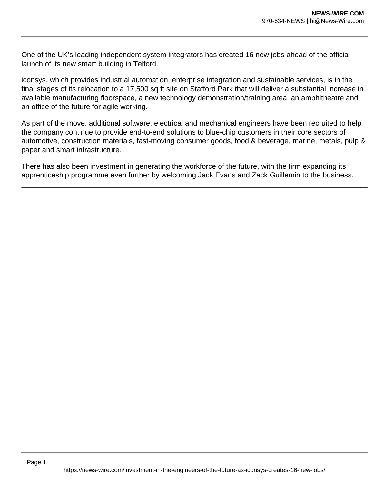One of the UK's leading independent system integrators has created 16 new jobs ahead of the official launch of its new smart building in Telford.

iconsys, which provides industrial automation, enterprise integration and sustainable services, is in the final stages of its relocation to a 17,500 sq ft site on Stafford Park that will deliver a substantial increase in available manufacturing floorspace, a new technology demonstration/training area, an amphitheatre and an office of the future for agile working.

As part of the move, additional software, electrical and mechanical engineers have been recruited to help the company continue to provide end-to-end solutions to blue-chip customers in their core sectors of automotive, construction materials, fast-moving consumer goods, food & beverage, marine, metals, pulp & paper and smart infrastructure.

There has also been investment in generating the workforce of the future, with the firm expanding its apprenticeship programme even further by welcoming Jack Evans and Zack Guillemin to the business.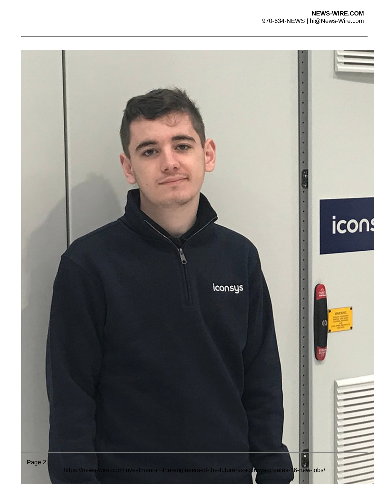## **NEWS-WIRE.COM** 970-634-NEWS | hi@News-Wire.com